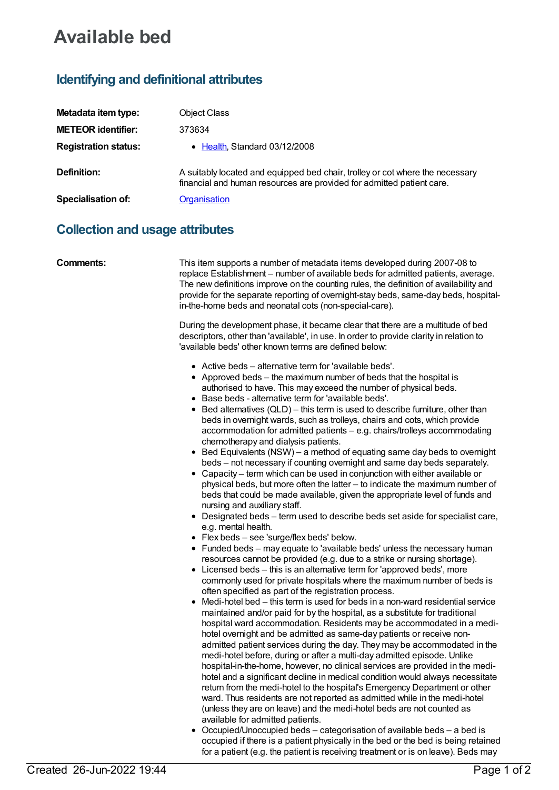## **Available bed**

## **Identifying and definitional attributes**

| Metadata item type:         | <b>Object Class</b>                                                                                                                                    |
|-----------------------------|--------------------------------------------------------------------------------------------------------------------------------------------------------|
| <b>METEOR identifier:</b>   | 373634                                                                                                                                                 |
| <b>Registration status:</b> | • Health, Standard 03/12/2008                                                                                                                          |
| Definition:                 | A suitably located and equipped bed chair, trolley or cot where the necessary<br>financial and human resources are provided for admitted patient care. |
| Specialisation of:          | <b>Organisation</b>                                                                                                                                    |

## **Collection and usage attributes**

| <b>Comments:</b> | This item supports a number of metadata items developed during 2007-08 to<br>replace Establishment - number of available beds for admitted patients, average.<br>The new definitions improve on the counting rules, the definition of availability and<br>provide for the separate reporting of overnight-stay beds, same-day beds, hospital-<br>in-the-home beds and neonatal cots (non-special-care).                                                                                                                                                                                                                                                                                                                                                                                                                                                                                                                                                                                                                                                                                                                                                                                                                                                                                                                                                                                                                                                                                                                                                                                                                                                                                                                                                                                                                        |
|------------------|--------------------------------------------------------------------------------------------------------------------------------------------------------------------------------------------------------------------------------------------------------------------------------------------------------------------------------------------------------------------------------------------------------------------------------------------------------------------------------------------------------------------------------------------------------------------------------------------------------------------------------------------------------------------------------------------------------------------------------------------------------------------------------------------------------------------------------------------------------------------------------------------------------------------------------------------------------------------------------------------------------------------------------------------------------------------------------------------------------------------------------------------------------------------------------------------------------------------------------------------------------------------------------------------------------------------------------------------------------------------------------------------------------------------------------------------------------------------------------------------------------------------------------------------------------------------------------------------------------------------------------------------------------------------------------------------------------------------------------------------------------------------------------------------------------------------------------|
|                  | During the development phase, it became clear that there are a multitude of bed<br>descriptors, other than 'available', in use. In order to provide clarity in relation to<br>'available beds' other known terms are defined below:                                                                                                                                                                                                                                                                                                                                                                                                                                                                                                                                                                                                                                                                                                                                                                                                                                                                                                                                                                                                                                                                                                                                                                                                                                                                                                                                                                                                                                                                                                                                                                                            |
|                  | • Active beds - alternative term for 'available beds'.<br>• Approved beds – the maximum number of beds that the hospital is<br>authorised to have. This may exceed the number of physical beds.<br>• Base beds - alternative term for 'available beds'.<br>• Bed alternatives (QLD) - this term is used to describe furniture, other than<br>beds in overnight wards, such as trolleys, chairs and cots, which provide<br>accommodation for admitted patients - e.g. chairs/trolleys accommodating<br>chemotherapy and dialysis patients.<br>• Bed Equivalents (NSW) – a method of equating same day beds to overnight<br>beds – not necessary if counting overnight and same day beds separately.<br>• Capacity – term which can be used in conjunction with either available or<br>physical beds, but more often the latter - to indicate the maximum number of<br>beds that could be made available, given the appropriate level of funds and<br>nursing and auxiliary staff.<br>• Designated beds - term used to describe beds set aside for specialist care,<br>e.g. mental health.<br>• Flex beds - see 'surge/flex beds' below.<br>• Funded beds – may equate to 'available beds' unless the necessary human<br>resources cannot be provided (e.g. due to a strike or nursing shortage).<br>• Licensed beds – this is an alternative term for 'approved beds', more<br>commonly used for private hospitals where the maximum number of beds is<br>often specified as part of the registration process.<br>Medi-hotel bed – this term is used for beds in a non-ward residential service<br>maintained and/or paid for by the hospital, as a substitute for traditional<br>hospital ward accommodation. Residents may be accommodated in a medi-<br>hotel overnight and be admitted as same-day patients or receive non- |
|                  | admitted patient services during the day. They may be accommodated in the<br>medi-hotel before, during or after a multi-day admitted episode. Unlike<br>hospital-in-the-home, however, no clinical services are provided in the medi-<br>hotel and a significant decline in medical condition would always necessitate<br>return from the medi-hotel to the hospital's Emergency Department or other<br>ward. Thus residents are not reported as admitted while in the medi-hotel<br>(unless they are on leave) and the medi-hotel beds are not counted as                                                                                                                                                                                                                                                                                                                                                                                                                                                                                                                                                                                                                                                                                                                                                                                                                                                                                                                                                                                                                                                                                                                                                                                                                                                                     |
|                  | available for admitted patients.<br>Occupied/Unoccupied beds – categorisation of available beds – a bed is<br>$\bullet$<br>occupied if there is a patient physically in the bed or the bed is being retained<br>for a patient (e.g. the patient is receiving treatment or is on leave). Beds may                                                                                                                                                                                                                                                                                                                                                                                                                                                                                                                                                                                                                                                                                                                                                                                                                                                                                                                                                                                                                                                                                                                                                                                                                                                                                                                                                                                                                                                                                                                               |